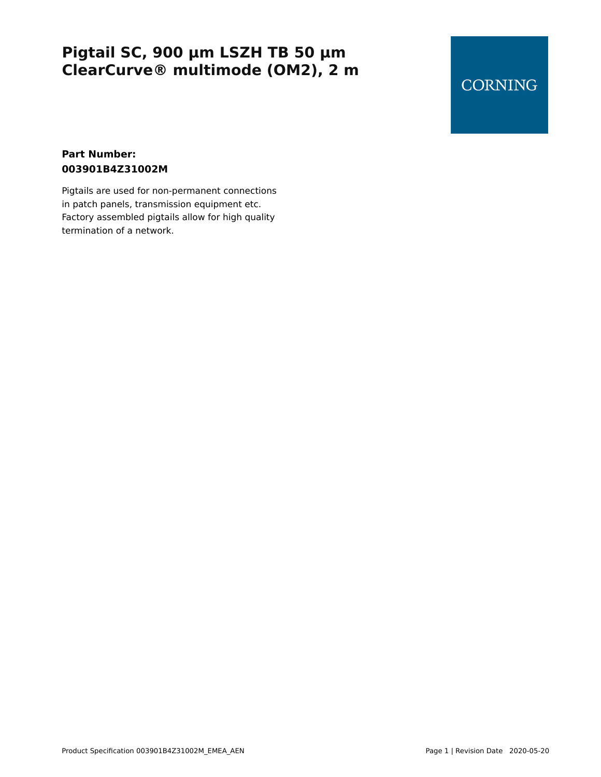## **CORNING**

#### **Part Number: 003901B4Z31002M**

Pigtails are used for non-permanent connections in patch panels, transmission equipment etc. Factory assembled pigtails allow for high quality termination of a network.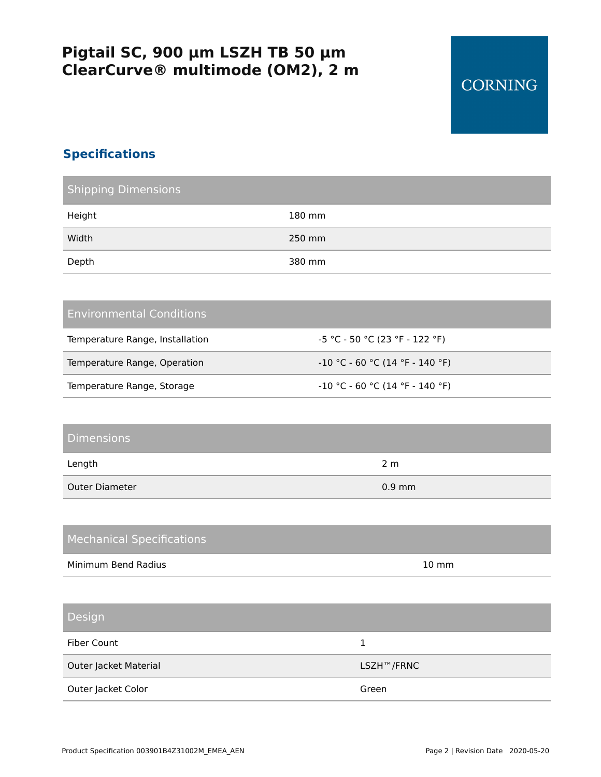## **CORNING**

### **Specifications**

| <b>Shipping Dimensions</b> |        |
|----------------------------|--------|
| Height                     | 180 mm |
| Width                      | 250 mm |
| Depth                      | 380 mm |

#### Environmental Conditions

| Temperature Range, Installation | -5 °C - 50 °C (23 °F - 122 °F)                   |
|---------------------------------|--------------------------------------------------|
| Temperature Range, Operation    | $\sim$ 10 °C - 60 °C (14 °F - 140 °F) $^{\circ}$ |
| Temperature Range, Storage      | $-10$ °C - 60 °C (14 °F - 140 °F)                |

#### Dimensions

| Length         | 2 m      |
|----------------|----------|
| Outer Diameter | $0.9$ mm |

| <b>Mechanical Specifications</b> |                         |
|----------------------------------|-------------------------|
| Minimum Bend Radius              | $10 \text{ mm}$         |
|                                  |                         |
| Design                           |                         |
| Fiber Count                      | 1                       |
| Outer Jacket Material            | LSZH <sup>™</sup> /FRNC |
| Outer Jacket Color               | Green                   |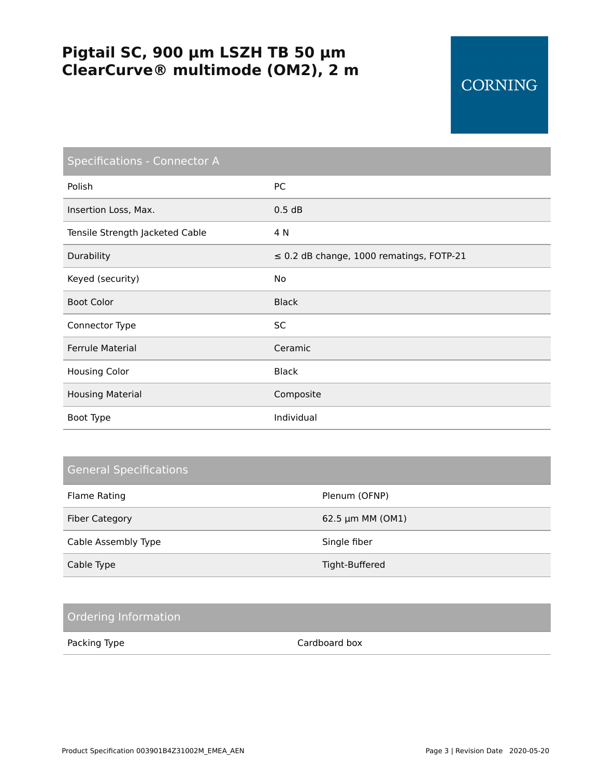## **CORNING**

| <b>Specifications - Connector A</b> |                                               |
|-------------------------------------|-----------------------------------------------|
| Polish                              | PC                                            |
| Insertion Loss, Max.                | 0.5 dB                                        |
| Tensile Strength Jacketed Cable     | 4 N                                           |
| Durability                          | $\leq$ 0.2 dB change, 1000 rematings, FOTP-21 |
| Keyed (security)                    | <b>No</b>                                     |
| <b>Boot Color</b>                   | <b>Black</b>                                  |
| Connector Type                      | <b>SC</b>                                     |
| <b>Ferrule Material</b>             | Ceramic                                       |
| <b>Housing Color</b>                | <b>Black</b>                                  |
| <b>Housing Material</b>             | Composite                                     |
| Boot Type                           | Individual                                    |

#### General Specifications

| Flame Rating          | Plenum (OFNP)    |
|-----------------------|------------------|
| <b>Fiber Category</b> | 62.5 µm MM (OM1) |
| Cable Assembly Type   | Single fiber     |
| Cable Type            | Tight-Buffered   |

#### Ordering Information

Packing Type **Cardboard box**